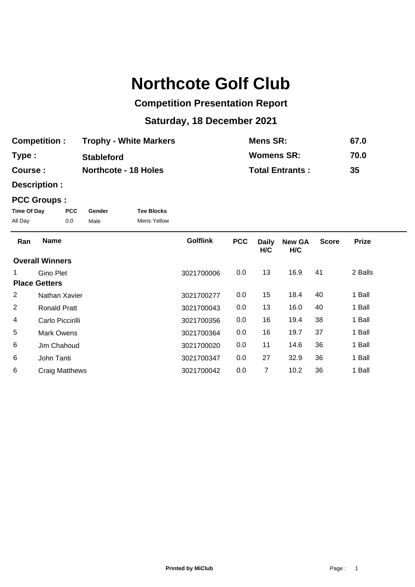# **Northcote Golf Club**

## **Competition Presentation Report**

## **Saturday, 18 December 2021**

| <b>Competition:</b> | <b>Trophy - White Markers</b> | Mens SR:               | 67.0 |
|---------------------|-------------------------------|------------------------|------|
| Type:               | <b>Stableford</b>             | Womens SR:             | 70.0 |
| Course :            | <b>Northcote - 18 Holes</b>   | <b>Total Entrants:</b> | 35   |

**Description :**

### **PCC Groups :**

| Time Of Day | <b>PCC</b> | Gender | <b>Tee Blocks</b> |
|-------------|------------|--------|-------------------|
| All Day     | 0.0        | Male   | Mens Yellow       |

| Ran | <b>Name</b>            | <b>Golflink</b> | <b>PCC</b> | <b>Daily</b><br>H/C | <b>New GA</b><br>H/C | <b>Score</b> | <b>Prize</b> |
|-----|------------------------|-----------------|------------|---------------------|----------------------|--------------|--------------|
|     | <b>Overall Winners</b> |                 |            |                     |                      |              |              |
| 1.  | Gino Plet              | 3021700006      | 0.0        | 13                  | 16.9                 | 41           | 2 Balls      |
|     | <b>Place Getters</b>   |                 |            |                     |                      |              |              |
| 2   | Nathan Xavier          | 3021700277      | 0.0        | 15                  | 18.4                 | 40           | 1 Ball       |
| 2   | Ronald Pratt           | 3021700043      | 0.0        | 13                  | 16.0                 | 40           | 1 Ball       |
| 4   | Carlo Piccirilli       | 3021700356      | 0.0        | 16                  | 19.4                 | 38           | 1 Ball       |
| 5   | Mark Owens             | 3021700364      | 0.0        | 16                  | 19.7                 | 37           | 1 Ball       |
| 6   | Jim Chahoud            | 3021700020      | 0.0        | 11                  | 14.6                 | 36           | 1 Ball       |
| 6   | John Tanti             | 3021700347      | 0.0        | 27                  | 32.9                 | 36           | 1 Ball       |
| 6   | <b>Craig Matthews</b>  | 3021700042      | 0.0        | 7                   | 10.2                 | 36           | 1 Ball       |